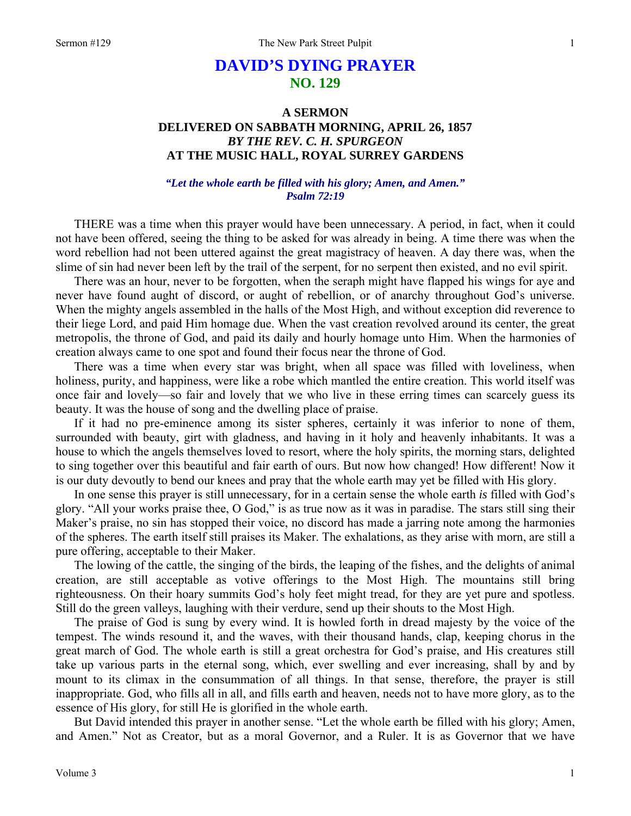# **DAVID'S DYING PRAYER NO. 129**

## **A SERMON DELIVERED ON SABBATH MORNING, APRIL 26, 1857**  *BY THE REV. C. H. SPURGEON*  **AT THE MUSIC HALL, ROYAL SURREY GARDENS**

### *"Let the whole earth be filled with his glory; Amen, and Amen." Psalm 72:19*

THERE was a time when this prayer would have been unnecessary. A period, in fact, when it could not have been offered, seeing the thing to be asked for was already in being. A time there was when the word rebellion had not been uttered against the great magistracy of heaven. A day there was, when the slime of sin had never been left by the trail of the serpent, for no serpent then existed, and no evil spirit.

There was an hour, never to be forgotten, when the seraph might have flapped his wings for aye and never have found aught of discord, or aught of rebellion, or of anarchy throughout God's universe. When the mighty angels assembled in the halls of the Most High, and without exception did reverence to their liege Lord, and paid Him homage due. When the vast creation revolved around its center, the great metropolis, the throne of God, and paid its daily and hourly homage unto Him. When the harmonies of creation always came to one spot and found their focus near the throne of God.

There was a time when every star was bright, when all space was filled with loveliness, when holiness, purity, and happiness, were like a robe which mantled the entire creation. This world itself was once fair and lovely—so fair and lovely that we who live in these erring times can scarcely guess its beauty. It was the house of song and the dwelling place of praise.

If it had no pre-eminence among its sister spheres, certainly it was inferior to none of them, surrounded with beauty, girt with gladness, and having in it holy and heavenly inhabitants. It was a house to which the angels themselves loved to resort, where the holy spirits, the morning stars, delighted to sing together over this beautiful and fair earth of ours. But now how changed! How different! Now it is our duty devoutly to bend our knees and pray that the whole earth may yet be filled with His glory.

In one sense this prayer is still unnecessary, for in a certain sense the whole earth *is* filled with God's glory. "All your works praise thee, O God," is as true now as it was in paradise. The stars still sing their Maker's praise, no sin has stopped their voice, no discord has made a jarring note among the harmonies of the spheres. The earth itself still praises its Maker. The exhalations, as they arise with morn, are still a pure offering, acceptable to their Maker.

The lowing of the cattle, the singing of the birds, the leaping of the fishes, and the delights of animal creation, are still acceptable as votive offerings to the Most High. The mountains still bring righteousness. On their hoary summits God's holy feet might tread, for they are yet pure and spotless. Still do the green valleys, laughing with their verdure, send up their shouts to the Most High.

The praise of God is sung by every wind. It is howled forth in dread majesty by the voice of the tempest. The winds resound it, and the waves, with their thousand hands, clap, keeping chorus in the great march of God. The whole earth is still a great orchestra for God's praise, and His creatures still take up various parts in the eternal song, which, ever swelling and ever increasing, shall by and by mount to its climax in the consummation of all things. In that sense, therefore, the prayer is still inappropriate. God, who fills all in all, and fills earth and heaven, needs not to have more glory, as to the essence of His glory, for still He is glorified in the whole earth.

But David intended this prayer in another sense. "Let the whole earth be filled with his glory; Amen, and Amen." Not as Creator, but as a moral Governor, and a Ruler. It is as Governor that we have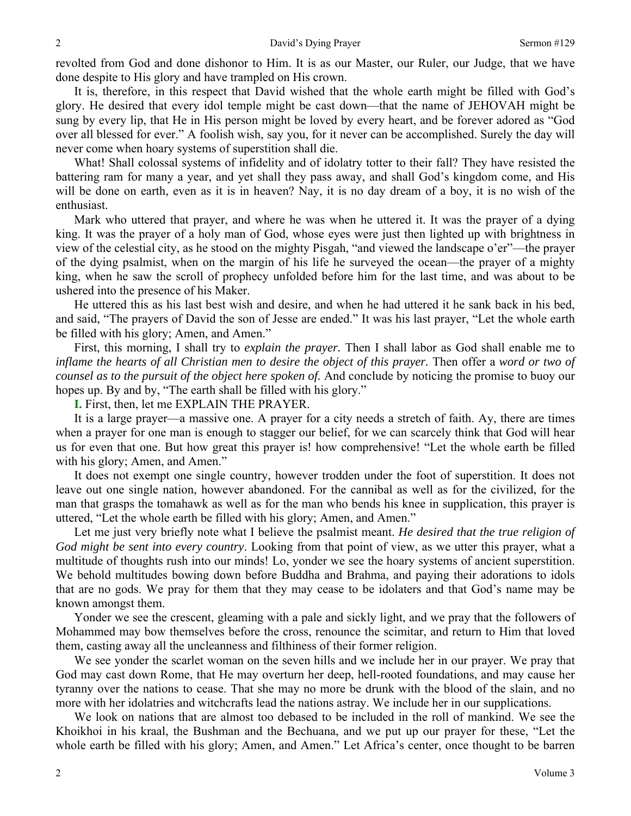revolted from God and done dishonor to Him. It is as our Master, our Ruler, our Judge, that we have done despite to His glory and have trampled on His crown.

It is, therefore, in this respect that David wished that the whole earth might be filled with God's glory. He desired that every idol temple might be cast down—that the name of JEHOVAH might be sung by every lip, that He in His person might be loved by every heart, and be forever adored as "God over all blessed for ever." A foolish wish, say you, for it never can be accomplished. Surely the day will never come when hoary systems of superstition shall die.

What! Shall colossal systems of infidelity and of idolatry totter to their fall? They have resisted the battering ram for many a year, and yet shall they pass away, and shall God's kingdom come, and His will be done on earth, even as it is in heaven? Nay, it is no day dream of a boy, it is no wish of the enthusiast.

Mark who uttered that prayer, and where he was when he uttered it. It was the prayer of a dying king. It was the prayer of a holy man of God, whose eyes were just then lighted up with brightness in view of the celestial city, as he stood on the mighty Pisgah, "and viewed the landscape o'er"—the prayer of the dying psalmist, when on the margin of his life he surveyed the ocean—the prayer of a mighty king, when he saw the scroll of prophecy unfolded before him for the last time, and was about to be ushered into the presence of his Maker.

He uttered this as his last best wish and desire, and when he had uttered it he sank back in his bed, and said, "The prayers of David the son of Jesse are ended." It was his last prayer, "Let the whole earth be filled with his glory; Amen, and Amen."

First, this morning, I shall try to *explain the prayer.* Then I shall labor as God shall enable me to *inflame the hearts of all Christian men to desire the object of this prayer.* Then offer a *word or two of counsel as to the pursuit of the object here spoken of.* And conclude by noticing the promise to buoy our hopes up. By and by, "The earth shall be filled with his glory."

**I.** First, then, let me EXPLAIN THE PRAYER.

It is a large prayer—a massive one. A prayer for a city needs a stretch of faith. Ay, there are times when a prayer for one man is enough to stagger our belief, for we can scarcely think that God will hear us for even that one. But how great this prayer is! how comprehensive! "Let the whole earth be filled with his glory; Amen, and Amen."

It does not exempt one single country, however trodden under the foot of superstition. It does not leave out one single nation, however abandoned. For the cannibal as well as for the civilized, for the man that grasps the tomahawk as well as for the man who bends his knee in supplication, this prayer is uttered, "Let the whole earth be filled with his glory; Amen, and Amen."

Let me just very briefly note what I believe the psalmist meant. *He desired that the true religion of God might be sent into every country*. Looking from that point of view, as we utter this prayer, what a multitude of thoughts rush into our minds! Lo, yonder we see the hoary systems of ancient superstition. We behold multitudes bowing down before Buddha and Brahma, and paying their adorations to idols that are no gods. We pray for them that they may cease to be idolaters and that God's name may be known amongst them.

Yonder we see the crescent, gleaming with a pale and sickly light, and we pray that the followers of Mohammed may bow themselves before the cross, renounce the scimitar, and return to Him that loved them, casting away all the uncleanness and filthiness of their former religion.

We see yonder the scarlet woman on the seven hills and we include her in our prayer. We pray that God may cast down Rome, that He may overturn her deep, hell-rooted foundations, and may cause her tyranny over the nations to cease. That she may no more be drunk with the blood of the slain, and no more with her idolatries and witchcrafts lead the nations astray. We include her in our supplications.

We look on nations that are almost too debased to be included in the roll of mankind. We see the Khoikhoi in his kraal, the Bushman and the Bechuana, and we put up our prayer for these, "Let the whole earth be filled with his glory; Amen, and Amen." Let Africa's center, once thought to be barren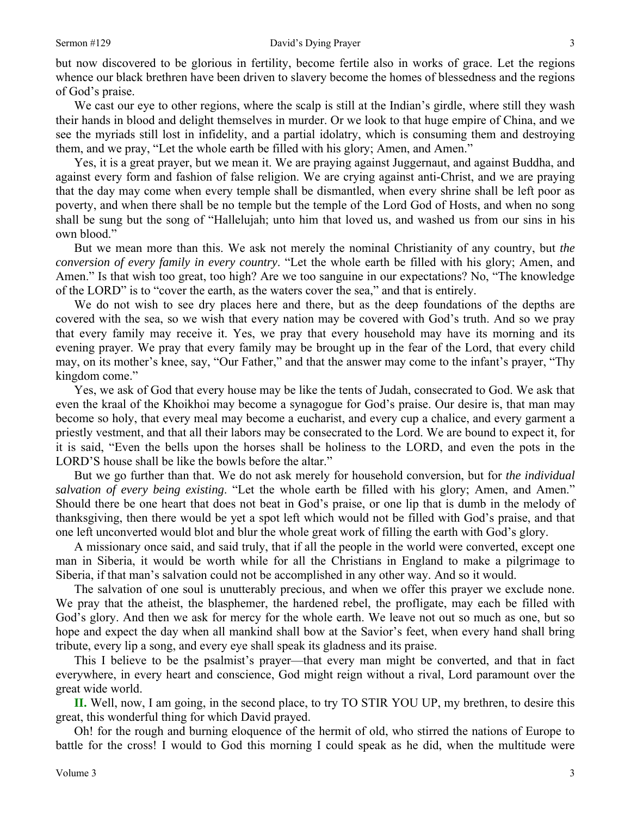but now discovered to be glorious in fertility, become fertile also in works of grace. Let the regions whence our black brethren have been driven to slavery become the homes of blessedness and the regions of God's praise.

We cast our eye to other regions, where the scalp is still at the Indian's girdle, where still they wash their hands in blood and delight themselves in murder. Or we look to that huge empire of China, and we see the myriads still lost in infidelity, and a partial idolatry, which is consuming them and destroying them, and we pray, "Let the whole earth be filled with his glory; Amen, and Amen."

Yes, it is a great prayer, but we mean it. We are praying against Juggernaut, and against Buddha, and against every form and fashion of false religion. We are crying against anti-Christ, and we are praying that the day may come when every temple shall be dismantled, when every shrine shall be left poor as poverty, and when there shall be no temple but the temple of the Lord God of Hosts, and when no song shall be sung but the song of "Hallelujah; unto him that loved us, and washed us from our sins in his own blood."

But we mean more than this. We ask not merely the nominal Christianity of any country, but *the conversion of every family in every country*. "Let the whole earth be filled with his glory; Amen, and Amen." Is that wish too great, too high? Are we too sanguine in our expectations? No, "The knowledge of the LORD" is to "cover the earth, as the waters cover the sea," and that is entirely.

We do not wish to see dry places here and there, but as the deep foundations of the depths are covered with the sea, so we wish that every nation may be covered with God's truth. And so we pray that every family may receive it. Yes, we pray that every household may have its morning and its evening prayer. We pray that every family may be brought up in the fear of the Lord, that every child may, on its mother's knee, say, "Our Father," and that the answer may come to the infant's prayer, "Thy kingdom come."

Yes, we ask of God that every house may be like the tents of Judah, consecrated to God. We ask that even the kraal of the Khoikhoi may become a synagogue for God's praise. Our desire is, that man may become so holy, that every meal may become a eucharist, and every cup a chalice, and every garment a priestly vestment, and that all their labors may be consecrated to the Lord. We are bound to expect it, for it is said, "Even the bells upon the horses shall be holiness to the LORD, and even the pots in the LORD'S house shall be like the bowls before the altar."

But we go further than that. We do not ask merely for household conversion, but for *the individual salvation of every being existing*. "Let the whole earth be filled with his glory; Amen, and Amen." Should there be one heart that does not beat in God's praise, or one lip that is dumb in the melody of thanksgiving, then there would be yet a spot left which would not be filled with God's praise, and that one left unconverted would blot and blur the whole great work of filling the earth with God's glory.

A missionary once said, and said truly, that if all the people in the world were converted, except one man in Siberia, it would be worth while for all the Christians in England to make a pilgrimage to Siberia, if that man's salvation could not be accomplished in any other way. And so it would.

The salvation of one soul is unutterably precious, and when we offer this prayer we exclude none. We pray that the atheist, the blasphemer, the hardened rebel, the profligate, may each be filled with God's glory. And then we ask for mercy for the whole earth. We leave not out so much as one, but so hope and expect the day when all mankind shall bow at the Savior's feet, when every hand shall bring tribute, every lip a song, and every eye shall speak its gladness and its praise.

This I believe to be the psalmist's prayer—that every man might be converted, and that in fact everywhere, in every heart and conscience, God might reign without a rival, Lord paramount over the great wide world.

**II.** Well, now, I am going, in the second place, to try TO STIR YOU UP, my brethren, to desire this great, this wonderful thing for which David prayed.

Oh! for the rough and burning eloquence of the hermit of old, who stirred the nations of Europe to battle for the cross! I would to God this morning I could speak as he did, when the multitude were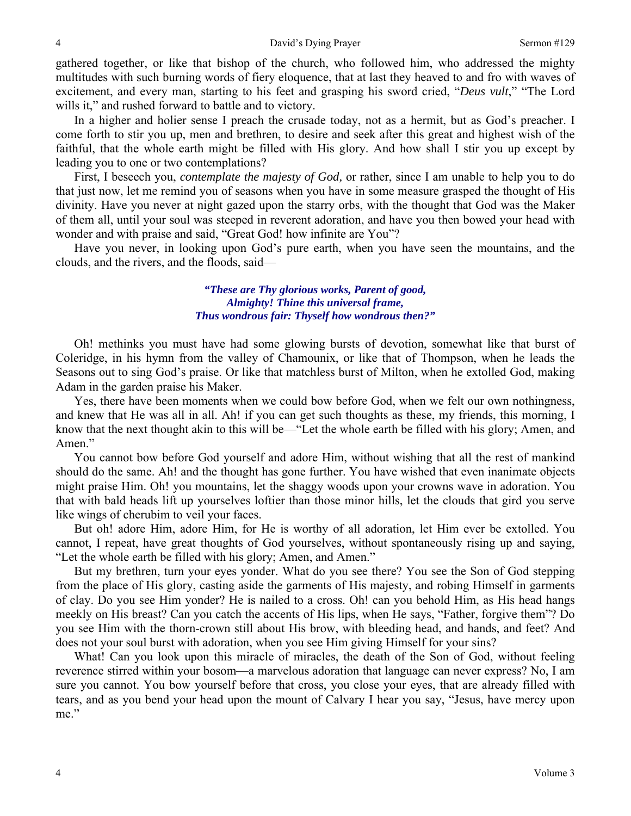gathered together, or like that bishop of the church, who followed him, who addressed the mighty multitudes with such burning words of fiery eloquence, that at last they heaved to and fro with waves of excitement, and every man, starting to his feet and grasping his sword cried, "*Deus vult*," "The Lord wills it," and rushed forward to battle and to victory.

In a higher and holier sense I preach the crusade today, not as a hermit, but as God's preacher. I come forth to stir you up, men and brethren, to desire and seek after this great and highest wish of the faithful, that the whole earth might be filled with His glory. And how shall I stir you up except by leading you to one or two contemplations?

First, I beseech you, *contemplate the majesty of God,* or rather, since I am unable to help you to do that just now, let me remind you of seasons when you have in some measure grasped the thought of His divinity. Have you never at night gazed upon the starry orbs, with the thought that God was the Maker of them all, until your soul was steeped in reverent adoration, and have you then bowed your head with wonder and with praise and said, "Great God! how infinite are You"?

Have you never, in looking upon God's pure earth, when you have seen the mountains, and the clouds, and the rivers, and the floods, said—

### *"These are Thy glorious works, Parent of good, Almighty! Thine this universal frame, Thus wondrous fair: Thyself how wondrous then?"*

Oh! methinks you must have had some glowing bursts of devotion, somewhat like that burst of Coleridge, in his hymn from the valley of Chamounix, or like that of Thompson, when he leads the Seasons out to sing God's praise. Or like that matchless burst of Milton, when he extolled God, making Adam in the garden praise his Maker.

Yes, there have been moments when we could bow before God, when we felt our own nothingness, and knew that He was all in all. Ah! if you can get such thoughts as these, my friends, this morning, I know that the next thought akin to this will be—"Let the whole earth be filled with his glory; Amen, and Amen."

You cannot bow before God yourself and adore Him, without wishing that all the rest of mankind should do the same. Ah! and the thought has gone further. You have wished that even inanimate objects might praise Him. Oh! you mountains, let the shaggy woods upon your crowns wave in adoration. You that with bald heads lift up yourselves loftier than those minor hills, let the clouds that gird you serve like wings of cherubim to veil your faces.

But oh! adore Him, adore Him, for He is worthy of all adoration, let Him ever be extolled. You cannot, I repeat, have great thoughts of God yourselves, without spontaneously rising up and saying, "Let the whole earth be filled with his glory; Amen, and Amen."

But my brethren, turn your eyes yonder. What do you see there? You see the Son of God stepping from the place of His glory, casting aside the garments of His majesty, and robing Himself in garments of clay. Do you see Him yonder? He is nailed to a cross. Oh! can you behold Him, as His head hangs meekly on His breast? Can you catch the accents of His lips, when He says, "Father, forgive them"? Do you see Him with the thorn-crown still about His brow, with bleeding head, and hands, and feet? And does not your soul burst with adoration, when you see Him giving Himself for your sins?

What! Can you look upon this miracle of miracles, the death of the Son of God, without feeling reverence stirred within your bosom—a marvelous adoration that language can never express? No, I am sure you cannot. You bow yourself before that cross, you close your eyes, that are already filled with tears, and as you bend your head upon the mount of Calvary I hear you say, "Jesus, have mercy upon me."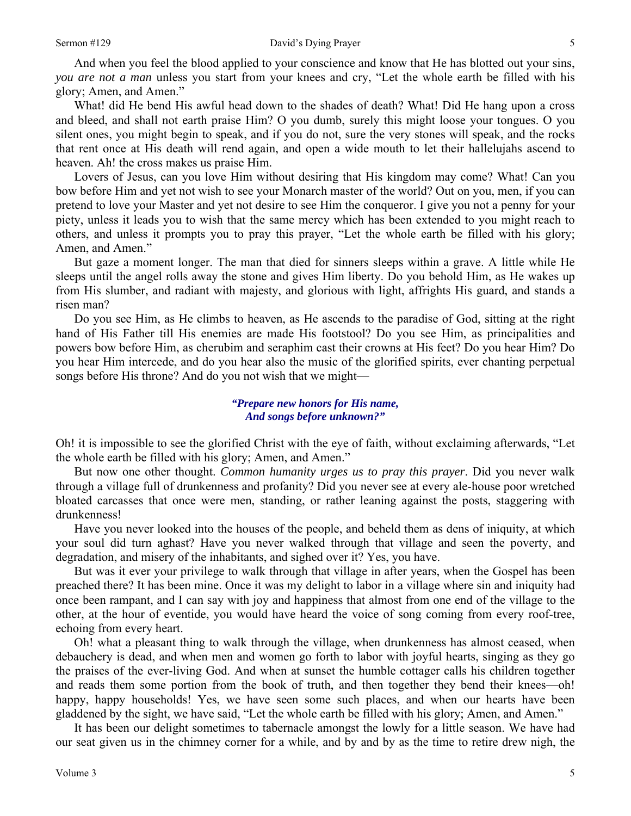And when you feel the blood applied to your conscience and know that He has blotted out your sins, *you are not a man* unless you start from your knees and cry, "Let the whole earth be filled with his glory; Amen, and Amen."

What! did He bend His awful head down to the shades of death? What! Did He hang upon a cross and bleed, and shall not earth praise Him? O you dumb, surely this might loose your tongues. O you silent ones, you might begin to speak, and if you do not, sure the very stones will speak, and the rocks that rent once at His death will rend again, and open a wide mouth to let their hallelujahs ascend to heaven. Ah! the cross makes us praise Him.

Lovers of Jesus, can you love Him without desiring that His kingdom may come? What! Can you bow before Him and yet not wish to see your Monarch master of the world? Out on you, men, if you can pretend to love your Master and yet not desire to see Him the conqueror. I give you not a penny for your piety, unless it leads you to wish that the same mercy which has been extended to you might reach to others, and unless it prompts you to pray this prayer, "Let the whole earth be filled with his glory; Amen, and Amen."

But gaze a moment longer. The man that died for sinners sleeps within a grave. A little while He sleeps until the angel rolls away the stone and gives Him liberty. Do you behold Him, as He wakes up from His slumber, and radiant with majesty, and glorious with light, affrights His guard, and stands a risen man?

Do you see Him, as He climbs to heaven, as He ascends to the paradise of God, sitting at the right hand of His Father till His enemies are made His footstool? Do you see Him, as principalities and powers bow before Him, as cherubim and seraphim cast their crowns at His feet? Do you hear Him? Do you hear Him intercede, and do you hear also the music of the glorified spirits, ever chanting perpetual songs before His throne? And do you not wish that we might—

#### *"Prepare new honors for His name, And songs before unknown?"*

Oh! it is impossible to see the glorified Christ with the eye of faith, without exclaiming afterwards, "Let the whole earth be filled with his glory; Amen, and Amen."

But now one other thought. *Common humanity urges us to pray this prayer*. Did you never walk through a village full of drunkenness and profanity? Did you never see at every ale-house poor wretched bloated carcasses that once were men, standing, or rather leaning against the posts, staggering with drunkenness!

Have you never looked into the houses of the people, and beheld them as dens of iniquity, at which your soul did turn aghast? Have you never walked through that village and seen the poverty, and degradation, and misery of the inhabitants, and sighed over it? Yes, you have.

But was it ever your privilege to walk through that village in after years, when the Gospel has been preached there? It has been mine. Once it was my delight to labor in a village where sin and iniquity had once been rampant, and I can say with joy and happiness that almost from one end of the village to the other, at the hour of eventide, you would have heard the voice of song coming from every roof-tree, echoing from every heart.

Oh! what a pleasant thing to walk through the village, when drunkenness has almost ceased, when debauchery is dead, and when men and women go forth to labor with joyful hearts, singing as they go the praises of the ever-living God. And when at sunset the humble cottager calls his children together and reads them some portion from the book of truth, and then together they bend their knees—oh! happy, happy households! Yes, we have seen some such places, and when our hearts have been gladdened by the sight, we have said, "Let the whole earth be filled with his glory; Amen, and Amen."

It has been our delight sometimes to tabernacle amongst the lowly for a little season. We have had our seat given us in the chimney corner for a while, and by and by as the time to retire drew nigh, the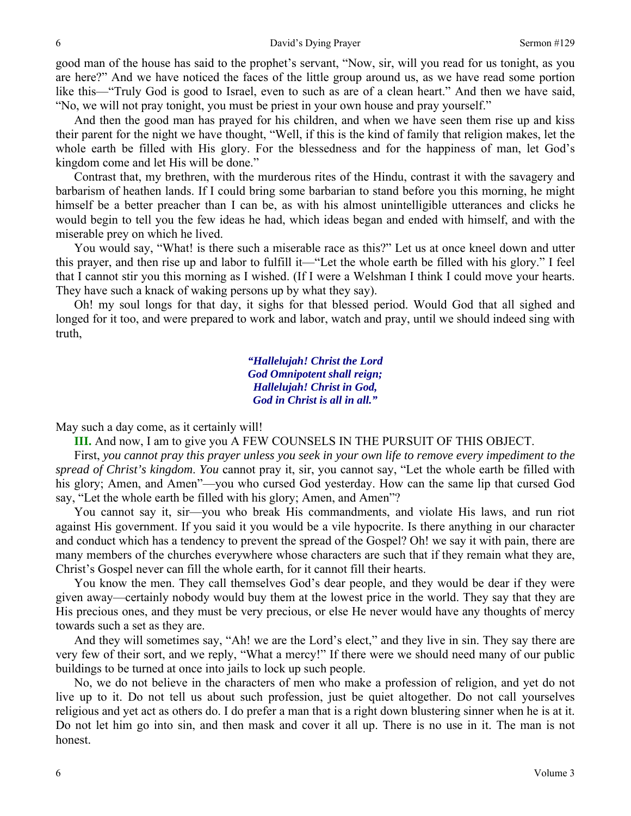good man of the house has said to the prophet's servant, "Now, sir, will you read for us tonight, as you are here?" And we have noticed the faces of the little group around us, as we have read some portion like this—"Truly God is good to Israel, even to such as are of a clean heart." And then we have said, "No, we will not pray tonight, you must be priest in your own house and pray yourself."

And then the good man has prayed for his children, and when we have seen them rise up and kiss their parent for the night we have thought, "Well, if this is the kind of family that religion makes, let the whole earth be filled with His glory. For the blessedness and for the happiness of man, let God's kingdom come and let His will be done."

Contrast that, my brethren, with the murderous rites of the Hindu, contrast it with the savagery and barbarism of heathen lands. If I could bring some barbarian to stand before you this morning, he might himself be a better preacher than I can be, as with his almost unintelligible utterances and clicks he would begin to tell you the few ideas he had, which ideas began and ended with himself, and with the miserable prey on which he lived.

You would say, "What! is there such a miserable race as this?" Let us at once kneel down and utter this prayer, and then rise up and labor to fulfill it—"Let the whole earth be filled with his glory." I feel that I cannot stir you this morning as I wished. (If I were a Welshman I think I could move your hearts. They have such a knack of waking persons up by what they say).

Oh! my soul longs for that day, it sighs for that blessed period. Would God that all sighed and longed for it too, and were prepared to work and labor, watch and pray, until we should indeed sing with truth,

> *"Hallelujah! Christ the Lord God Omnipotent shall reign; Hallelujah! Christ in God, God in Christ is all in all."*

May such a day come, as it certainly will!

**III.** And now, I am to give you A FEW COUNSELS IN THE PURSUIT OF THIS OBJECT.

First, *you cannot pray this prayer unless you seek in your own life to remove every impediment to the spread of Christ's kingdom*. *You* cannot pray it, sir, you cannot say, "Let the whole earth be filled with his glory; Amen, and Amen"—you who cursed God yesterday. How can the same lip that cursed God say, "Let the whole earth be filled with his glory; Amen, and Amen"?

You cannot say it, sir—you who break His commandments, and violate His laws, and run riot against His government. If you said it you would be a vile hypocrite. Is there anything in our character and conduct which has a tendency to prevent the spread of the Gospel? Oh! we say it with pain, there are many members of the churches everywhere whose characters are such that if they remain what they are, Christ's Gospel never can fill the whole earth, for it cannot fill their hearts.

You know the men. They call themselves God's dear people, and they would be dear if they were given away—certainly nobody would buy them at the lowest price in the world. They say that they are His precious ones, and they must be very precious, or else He never would have any thoughts of mercy towards such a set as they are.

And they will sometimes say, "Ah! we are the Lord's elect," and they live in sin. They say there are very few of their sort, and we reply, "What a mercy!" If there were we should need many of our public buildings to be turned at once into jails to lock up such people.

No, we do not believe in the characters of men who make a profession of religion, and yet do not live up to it. Do not tell us about such profession, just be quiet altogether. Do not call yourselves religious and yet act as others do. I do prefer a man that is a right down blustering sinner when he is at it. Do not let him go into sin, and then mask and cover it all up. There is no use in it. The man is not honest.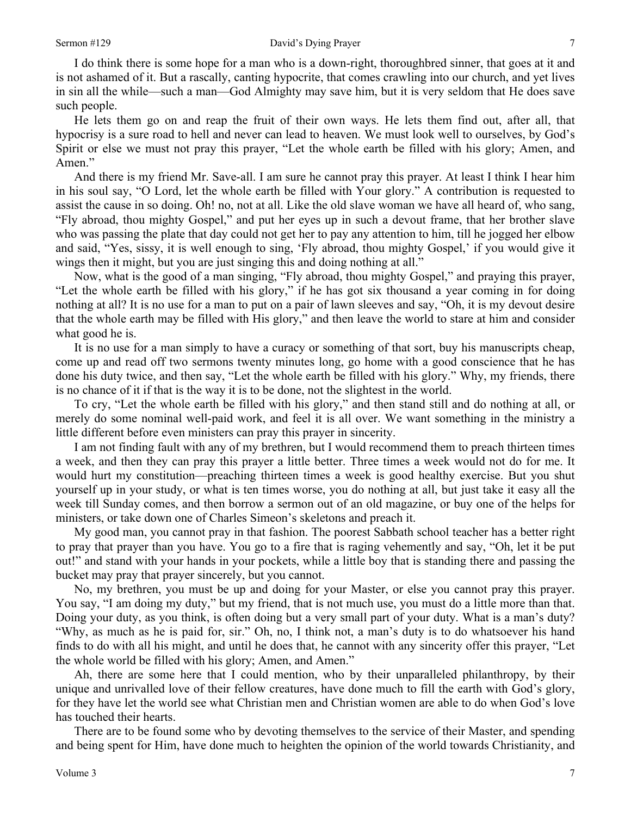I do think there is some hope for a man who is a down-right, thoroughbred sinner, that goes at it and is not ashamed of it. But a rascally, canting hypocrite, that comes crawling into our church, and yet lives in sin all the while—such a man—God Almighty may save him, but it is very seldom that He does save such people.

He lets them go on and reap the fruit of their own ways. He lets them find out, after all, that hypocrisy is a sure road to hell and never can lead to heaven. We must look well to ourselves, by God's Spirit or else we must not pray this prayer, "Let the whole earth be filled with his glory; Amen, and Amen."

And there is my friend Mr. Save-all. I am sure he cannot pray this prayer. At least I think I hear him in his soul say, "O Lord, let the whole earth be filled with Your glory." A contribution is requested to assist the cause in so doing. Oh! no, not at all. Like the old slave woman we have all heard of, who sang, "Fly abroad, thou mighty Gospel," and put her eyes up in such a devout frame, that her brother slave who was passing the plate that day could not get her to pay any attention to him, till he jogged her elbow and said, "Yes, sissy, it is well enough to sing, 'Fly abroad, thou mighty Gospel,' if you would give it wings then it might, but you are just singing this and doing nothing at all."

Now, what is the good of a man singing, "Fly abroad, thou mighty Gospel," and praying this prayer, "Let the whole earth be filled with his glory," if he has got six thousand a year coming in for doing nothing at all? It is no use for a man to put on a pair of lawn sleeves and say, "Oh, it is my devout desire that the whole earth may be filled with His glory," and then leave the world to stare at him and consider what good he is.

It is no use for a man simply to have a curacy or something of that sort, buy his manuscripts cheap, come up and read off two sermons twenty minutes long, go home with a good conscience that he has done his duty twice, and then say, "Let the whole earth be filled with his glory." Why, my friends, there is no chance of it if that is the way it is to be done, not the slightest in the world.

To cry, "Let the whole earth be filled with his glory," and then stand still and do nothing at all, or merely do some nominal well-paid work, and feel it is all over. We want something in the ministry a little different before even ministers can pray this prayer in sincerity.

I am not finding fault with any of my brethren, but I would recommend them to preach thirteen times a week, and then they can pray this prayer a little better. Three times a week would not do for me. It would hurt my constitution—preaching thirteen times a week is good healthy exercise. But you shut yourself up in your study, or what is ten times worse, you do nothing at all, but just take it easy all the week till Sunday comes, and then borrow a sermon out of an old magazine, or buy one of the helps for ministers, or take down one of Charles Simeon's skeletons and preach it.

My good man, you cannot pray in that fashion. The poorest Sabbath school teacher has a better right to pray that prayer than you have. You go to a fire that is raging vehemently and say, "Oh, let it be put out!" and stand with your hands in your pockets, while a little boy that is standing there and passing the bucket may pray that prayer sincerely, but you cannot.

No, my brethren, you must be up and doing for your Master, or else you cannot pray this prayer. You say, "I am doing my duty," but my friend, that is not much use, you must do a little more than that. Doing your duty, as you think, is often doing but a very small part of your duty. What is a man's duty? "Why, as much as he is paid for, sir." Oh, no, I think not, a man's duty is to do whatsoever his hand finds to do with all his might, and until he does that, he cannot with any sincerity offer this prayer, "Let the whole world be filled with his glory; Amen, and Amen."

Ah, there are some here that I could mention, who by their unparalleled philanthropy, by their unique and unrivalled love of their fellow creatures, have done much to fill the earth with God's glory, for they have let the world see what Christian men and Christian women are able to do when God's love has touched their hearts.

There are to be found some who by devoting themselves to the service of their Master, and spending and being spent for Him, have done much to heighten the opinion of the world towards Christianity, and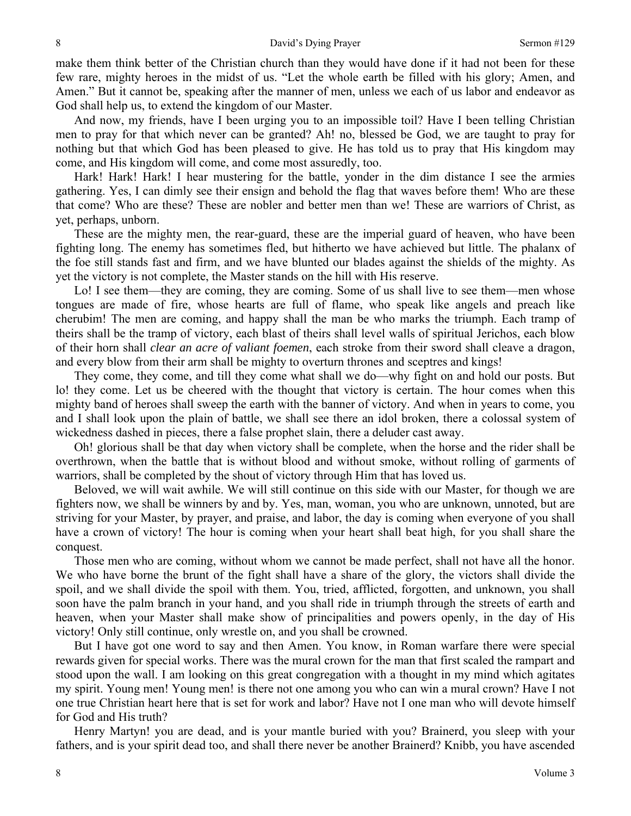make them think better of the Christian church than they would have done if it had not been for these few rare, mighty heroes in the midst of us. "Let the whole earth be filled with his glory; Amen, and Amen." But it cannot be, speaking after the manner of men, unless we each of us labor and endeavor as God shall help us, to extend the kingdom of our Master.

And now, my friends, have I been urging you to an impossible toil? Have I been telling Christian men to pray for that which never can be granted? Ah! no, blessed be God, we are taught to pray for nothing but that which God has been pleased to give. He has told us to pray that His kingdom may come, and His kingdom will come, and come most assuredly, too.

Hark! Hark! Hark! I hear mustering for the battle, yonder in the dim distance I see the armies gathering. Yes, I can dimly see their ensign and behold the flag that waves before them! Who are these that come? Who are these? These are nobler and better men than we! These are warriors of Christ, as yet, perhaps, unborn.

These are the mighty men, the rear-guard, these are the imperial guard of heaven, who have been fighting long. The enemy has sometimes fled, but hitherto we have achieved but little. The phalanx of the foe still stands fast and firm, and we have blunted our blades against the shields of the mighty. As yet the victory is not complete, the Master stands on the hill with His reserve.

Lo! I see them—they are coming, they are coming. Some of us shall live to see them—men whose tongues are made of fire, whose hearts are full of flame, who speak like angels and preach like cherubim! The men are coming, and happy shall the man be who marks the triumph. Each tramp of theirs shall be the tramp of victory, each blast of theirs shall level walls of spiritual Jerichos, each blow of their horn shall *clear an acre of valiant foemen*, each stroke from their sword shall cleave a dragon, and every blow from their arm shall be mighty to overturn thrones and sceptres and kings!

They come, they come, and till they come what shall we do—why fight on and hold our posts. But lo! they come. Let us be cheered with the thought that victory is certain. The hour comes when this mighty band of heroes shall sweep the earth with the banner of victory. And when in years to come, you and I shall look upon the plain of battle, we shall see there an idol broken, there a colossal system of wickedness dashed in pieces, there a false prophet slain, there a deluder cast away.

Oh! glorious shall be that day when victory shall be complete, when the horse and the rider shall be overthrown, when the battle that is without blood and without smoke, without rolling of garments of warriors, shall be completed by the shout of victory through Him that has loved us.

Beloved, we will wait awhile. We will still continue on this side with our Master, for though we are fighters now, we shall be winners by and by. Yes, man, woman, you who are unknown, unnoted, but are striving for your Master, by prayer, and praise, and labor, the day is coming when everyone of you shall have a crown of victory! The hour is coming when your heart shall beat high, for you shall share the conquest.

Those men who are coming, without whom we cannot be made perfect, shall not have all the honor. We who have borne the brunt of the fight shall have a share of the glory, the victors shall divide the spoil, and we shall divide the spoil with them. You, tried, afflicted, forgotten, and unknown, you shall soon have the palm branch in your hand, and you shall ride in triumph through the streets of earth and heaven, when your Master shall make show of principalities and powers openly, in the day of His victory! Only still continue, only wrestle on, and you shall be crowned.

But I have got one word to say and then Amen. You know, in Roman warfare there were special rewards given for special works. There was the mural crown for the man that first scaled the rampart and stood upon the wall. I am looking on this great congregation with a thought in my mind which agitates my spirit. Young men! Young men! is there not one among you who can win a mural crown? Have I not one true Christian heart here that is set for work and labor? Have not I one man who will devote himself for God and His truth?

Henry Martyn! you are dead, and is your mantle buried with you? Brainerd, you sleep with your fathers, and is your spirit dead too, and shall there never be another Brainerd? Knibb, you have ascended

8